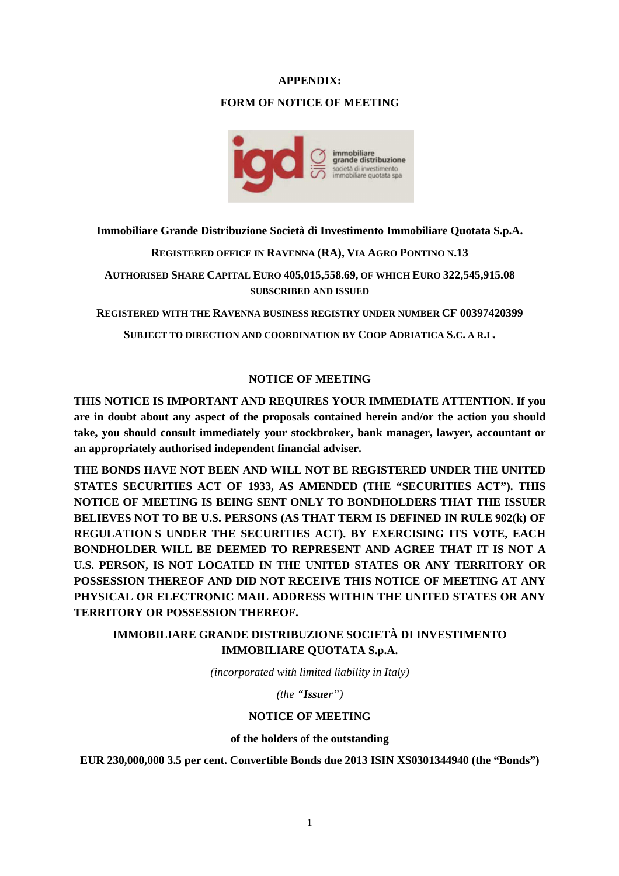#### **APPENDIX:**

#### **FORM OF NOTICE OF MEETING**



**Immobiliare Grande Distribuzione Società di Investimento Immobiliare Quotata S.p.A.** 

**REGISTERED OFFICE IN RAVENNA (RA), VIA AGRO PONTINO N.13** 

**AUTHORISED SHARE CAPITAL EURO 405,015,558.69, OF WHICH EURO 322,545,915.08 SUBSCRIBED AND ISSUED**

**REGISTERED WITH THE RAVENNA BUSINESS REGISTRY UNDER NUMBER CF 00397420399** 

**SUBJECT TO DIRECTION AND COORDINATION BY COOP ADRIATICA S.C. A R.L.** 

#### **NOTICE OF MEETING**

**THIS NOTICE IS IMPORTANT AND REQUIRES YOUR IMMEDIATE ATTENTION. If you are in doubt about any aspect of the proposals contained herein and/or the action you should take, you should consult immediately your stockbroker, bank manager, lawyer, accountant or an appropriately authorised independent financial adviser.** 

**THE BONDS HAVE NOT BEEN AND WILL NOT BE REGISTERED UNDER THE UNITED STATES SECURITIES ACT OF 1933, AS AMENDED (THE "SECURITIES ACT"). THIS NOTICE OF MEETING IS BEING SENT ONLY TO BONDHOLDERS THAT THE ISSUER BELIEVES NOT TO BE U.S. PERSONS (AS THAT TERM IS DEFINED IN RULE 902(k) OF REGULATION S UNDER THE SECURITIES ACT). BY EXERCISING ITS VOTE, EACH BONDHOLDER WILL BE DEEMED TO REPRESENT AND AGREE THAT IT IS NOT A U.S. PERSON, IS NOT LOCATED IN THE UNITED STATES OR ANY TERRITORY OR POSSESSION THEREOF AND DID NOT RECEIVE THIS NOTICE OF MEETING AT ANY PHYSICAL OR ELECTRONIC MAIL ADDRESS WITHIN THE UNITED STATES OR ANY TERRITORY OR POSSESSION THEREOF.** 

# **IMMOBILIARE GRANDE DISTRIBUZIONE SOCIETÀ DI INVESTIMENTO IMMOBILIARE QUOTATA S.p.A.**

*(incorporated with limited liability in Italy)* 

*(the "Issuer")* 

#### **NOTICE OF MEETING**

#### **of the holders of the outstanding**

**EUR 230,000,000 3.5 per cent. Convertible Bonds due 2013 ISIN XS0301344940 (the "Bonds")**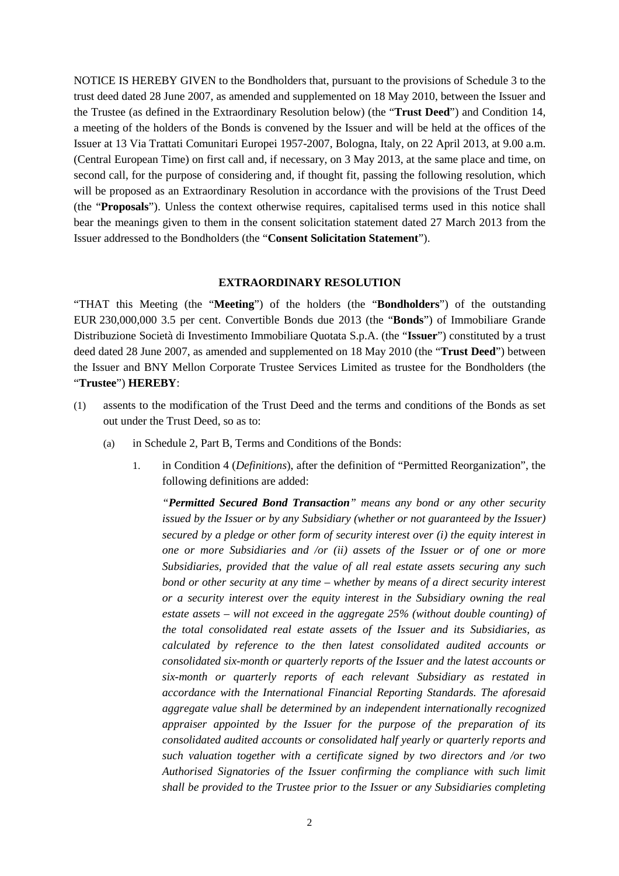NOTICE IS HEREBY GIVEN to the Bondholders that, pursuant to the provisions of Schedule 3 to the trust deed dated 28 June 2007, as amended and supplemented on 18 May 2010, between the Issuer and the Trustee (as defined in the Extraordinary Resolution below) (the "**Trust Deed**") and Condition 14, a meeting of the holders of the Bonds is convened by the Issuer and will be held at the offices of the Issuer at 13 Via Trattati Comunitari Europei 1957-2007, Bologna, Italy, on 22 April 2013, at 9.00 a.m. (Central European Time) on first call and, if necessary, on 3 May 2013, at the same place and time, on second call, for the purpose of considering and, if thought fit, passing the following resolution, which will be proposed as an Extraordinary Resolution in accordance with the provisions of the Trust Deed (the "**Proposals**"). Unless the context otherwise requires, capitalised terms used in this notice shall bear the meanings given to them in the consent solicitation statement dated 27 March 2013 from the Issuer addressed to the Bondholders (the "**Consent Solicitation Statement**").

#### **EXTRAORDINARY RESOLUTION**

"THAT this Meeting (the "**Meeting**") of the holders (the "**Bondholders**") of the outstanding EUR 230,000,000 3.5 per cent. Convertible Bonds due 2013 (the "**Bonds**") of Immobiliare Grande Distribuzione Società di Investimento Immobiliare Quotata S.p.A. (the "**Issuer**") constituted by a trust deed dated 28 June 2007, as amended and supplemented on 18 May 2010 (the "**Trust Deed**") between the Issuer and BNY Mellon Corporate Trustee Services Limited as trustee for the Bondholders (the "**Trustee**") **HEREBY**:

- (1) assents to the modification of the Trust Deed and the terms and conditions of the Bonds as set out under the Trust Deed, so as to:
	- (a) in Schedule 2, Part B, Terms and Conditions of the Bonds:
		- 1. in Condition 4 (*Definitions*), after the definition of "Permitted Reorganization", the following definitions are added:

*"Permitted Secured Bond Transaction" means any bond or any other security issued by the Issuer or by any Subsidiary (whether or not guaranteed by the Issuer) secured by a pledge or other form of security interest over (i) the equity interest in one or more Subsidiaries and /or (ii) assets of the Issuer or of one or more Subsidiaries, provided that the value of all real estate assets securing any such bond or other security at any time – whether by means of a direct security interest or a security interest over the equity interest in the Subsidiary owning the real estate assets – will not exceed in the aggregate 25% (without double counting) of the total consolidated real estate assets of the Issuer and its Subsidiaries, as calculated by reference to the then latest consolidated audited accounts or consolidated six-month or quarterly reports of the Issuer and the latest accounts or six-month or quarterly reports of each relevant Subsidiary as restated in accordance with the International Financial Reporting Standards. The aforesaid aggregate value shall be determined by an independent internationally recognized appraiser appointed by the Issuer for the purpose of the preparation of its consolidated audited accounts or consolidated half yearly or quarterly reports and such valuation together with a certificate signed by two directors and /or two Authorised Signatories of the Issuer confirming the compliance with such limit shall be provided to the Trustee prior to the Issuer or any Subsidiaries completing*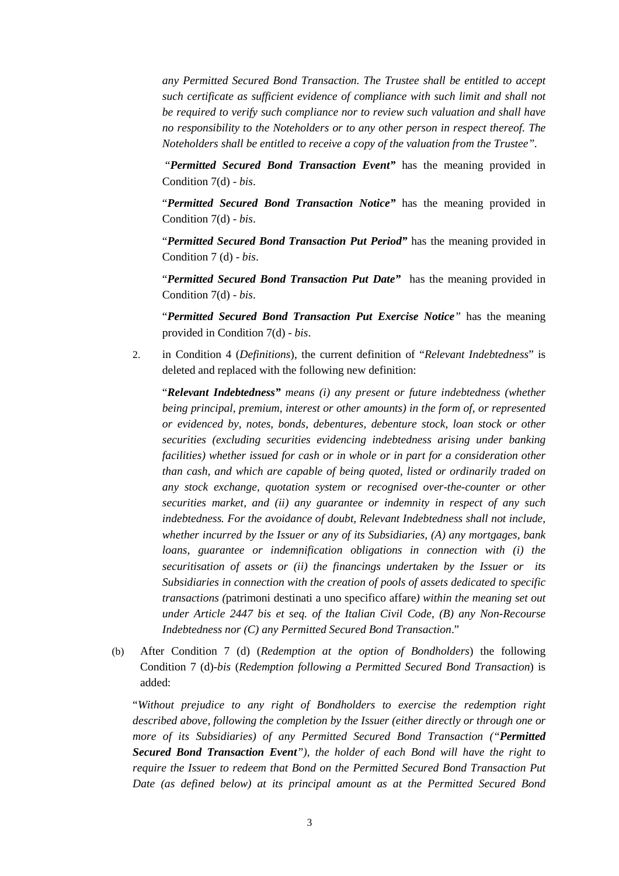*any Permitted Secured Bond Transaction. The Trustee shall be entitled to accept such certificate as sufficient evidence of compliance with such limit and shall not be required to verify such compliance nor to review such valuation and shall have no responsibility to the Noteholders or to any other person in respect thereof. The Noteholders shall be entitled to receive a copy of the valuation from the Trustee".* 

"*Permitted Secured Bond Transaction Event"* has the meaning provided in Condition 7(d) - *bis*.

"*Permitted Secured Bond Transaction Notice"* has the meaning provided in Condition 7(d) - *bis*.

"*Permitted Secured Bond Transaction Put Period"* has the meaning provided in Condition 7 (d) - *bis*.

"*Permitted Secured Bond Transaction Put Date"* has the meaning provided in Condition 7(d) - *bis*.

"*Permitted Secured Bond Transaction Put Exercise Notice"* has the meaning provided in Condition 7(d) - *bis*.

2. in Condition 4 (*Definitions*), the current definition of "*Relevant Indebtedness*" is deleted and replaced with the following new definition:

"*Relevant Indebtedness" means (i) any present or future indebtedness (whether being principal, premium, interest or other amounts) in the form of, or represented or evidenced by, notes, bonds, debentures, debenture stock, loan stock or other securities (excluding securities evidencing indebtedness arising under banking facilities) whether issued for cash or in whole or in part for a consideration other than cash, and which are capable of being quoted, listed or ordinarily traded on any stock exchange, quotation system or recognised over-the-counter or other securities market, and (ii) any guarantee or indemnity in respect of any such indebtedness. For the avoidance of doubt, Relevant Indebtedness shall not include, whether incurred by the Issuer or any of its Subsidiaries, (A) any mortgages, bank loans, guarantee or indemnification obligations in connection with (i) the securitisation of assets or (ii) the financings undertaken by the Issuer or its Subsidiaries in connection with the creation of pools of assets dedicated to specific transactions (*patrimoni destinati a uno specifico affare*) within the meaning set out under Article 2447 bis et seq. of the Italian Civil Code, (B) any Non-Recourse Indebtedness nor (C) any Permitted Secured Bond Transaction*."

(b) After Condition 7 (d) (*Redemption at the option of Bondholders*) the following Condition 7 (d)-*bis* (*Redemption following a Permitted Secured Bond Transaction*) is added:

"*Without prejudice to any right of Bondholders to exercise the redemption right described above, following the completion by the Issuer (either directly or through one or more of its Subsidiaries) of any Permitted Secured Bond Transaction ("Permitted Secured Bond Transaction Event"), the holder of each Bond will have the right to require the Issuer to redeem that Bond on the Permitted Secured Bond Transaction Put Date (as defined below) at its principal amount as at the Permitted Secured Bond*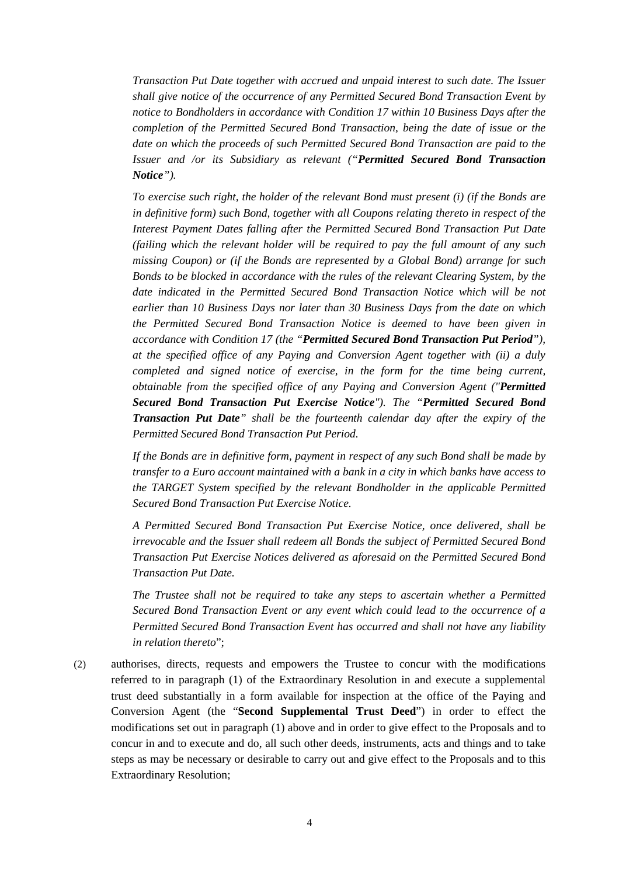*Transaction Put Date together with accrued and unpaid interest to such date. The Issuer shall give notice of the occurrence of any Permitted Secured Bond Transaction Event by notice to Bondholders in accordance with Condition 17 within 10 Business Days after the completion of the Permitted Secured Bond Transaction, being the date of issue or the date on which the proceeds of such Permitted Secured Bond Transaction are paid to the Issuer and /or its Subsidiary as relevant ("Permitted Secured Bond Transaction Notice").* 

*To exercise such right, the holder of the relevant Bond must present (i) (if the Bonds are in definitive form) such Bond, together with all Coupons relating thereto in respect of the Interest Payment Dates falling after the Permitted Secured Bond Transaction Put Date (failing which the relevant holder will be required to pay the full amount of any such missing Coupon) or (if the Bonds are represented by a Global Bond) arrange for such Bonds to be blocked in accordance with the rules of the relevant Clearing System, by the date indicated in the Permitted Secured Bond Transaction Notice which will be not earlier than 10 Business Days nor later than 30 Business Days from the date on which the Permitted Secured Bond Transaction Notice is deemed to have been given in accordance with Condition 17 (the "Permitted Secured Bond Transaction Put Period"), at the specified office of any Paying and Conversion Agent together with (ii) a duly completed and signed notice of exercise, in the form for the time being current, obtainable from the specified office of any Paying and Conversion Agent ("Permitted Secured Bond Transaction Put Exercise Notice"). The "Permitted Secured Bond Transaction Put Date" shall be the fourteenth calendar day after the expiry of the Permitted Secured Bond Transaction Put Period.* 

*If the Bonds are in definitive form, payment in respect of any such Bond shall be made by transfer to a Euro account maintained with a bank in a city in which banks have access to the TARGET System specified by the relevant Bondholder in the applicable Permitted Secured Bond Transaction Put Exercise Notice.* 

*A Permitted Secured Bond Transaction Put Exercise Notice, once delivered, shall be irrevocable and the Issuer shall redeem all Bonds the subject of Permitted Secured Bond Transaction Put Exercise Notices delivered as aforesaid on the Permitted Secured Bond Transaction Put Date.* 

*The Trustee shall not be required to take any steps to ascertain whether a Permitted Secured Bond Transaction Event or any event which could lead to the occurrence of a Permitted Secured Bond Transaction Event has occurred and shall not have any liability in relation thereto*";

(2) authorises, directs, requests and empowers the Trustee to concur with the modifications referred to in paragraph (1) of the Extraordinary Resolution in and execute a supplemental trust deed substantially in a form available for inspection at the office of the Paying and Conversion Agent (the "**Second Supplemental Trust Deed**") in order to effect the modifications set out in paragraph (1) above and in order to give effect to the Proposals and to concur in and to execute and do, all such other deeds, instruments, acts and things and to take steps as may be necessary or desirable to carry out and give effect to the Proposals and to this Extraordinary Resolution;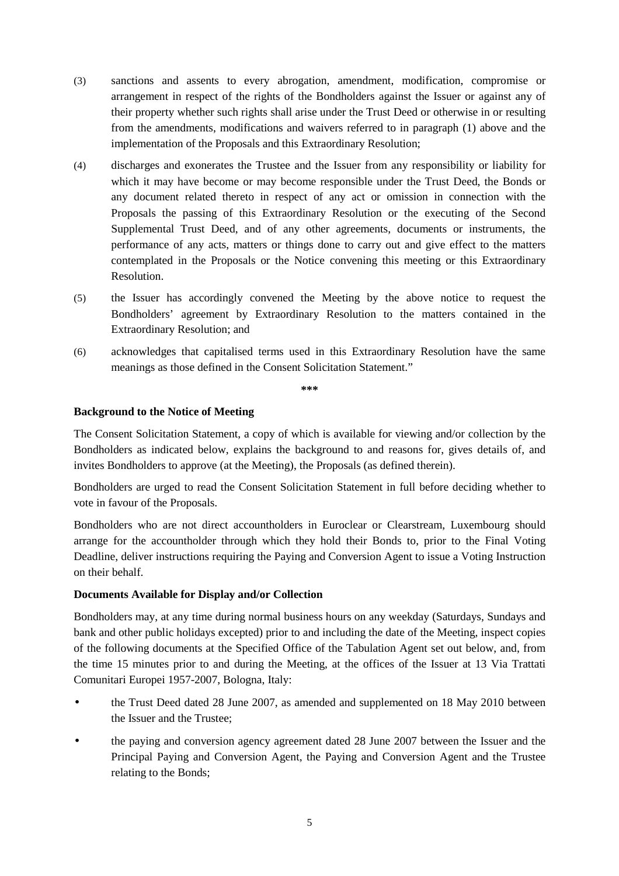- (3) sanctions and assents to every abrogation, amendment, modification, compromise or arrangement in respect of the rights of the Bondholders against the Issuer or against any of their property whether such rights shall arise under the Trust Deed or otherwise in or resulting from the amendments, modifications and waivers referred to in paragraph (1) above and the implementation of the Proposals and this Extraordinary Resolution;
- (4) discharges and exonerates the Trustee and the Issuer from any responsibility or liability for which it may have become or may become responsible under the Trust Deed, the Bonds or any document related thereto in respect of any act or omission in connection with the Proposals the passing of this Extraordinary Resolution or the executing of the Second Supplemental Trust Deed, and of any other agreements, documents or instruments, the performance of any acts, matters or things done to carry out and give effect to the matters contemplated in the Proposals or the Notice convening this meeting or this Extraordinary Resolution.
- (5) the Issuer has accordingly convened the Meeting by the above notice to request the Bondholders' agreement by Extraordinary Resolution to the matters contained in the Extraordinary Resolution; and
- (6) acknowledges that capitalised terms used in this Extraordinary Resolution have the same meanings as those defined in the Consent Solicitation Statement."

**\*\*\*** 

#### **Background to the Notice of Meeting**

The Consent Solicitation Statement, a copy of which is available for viewing and/or collection by the Bondholders as indicated below, explains the background to and reasons for, gives details of, and invites Bondholders to approve (at the Meeting), the Proposals (as defined therein).

Bondholders are urged to read the Consent Solicitation Statement in full before deciding whether to vote in favour of the Proposals.

Bondholders who are not direct accountholders in Euroclear or Clearstream, Luxembourg should arrange for the accountholder through which they hold their Bonds to, prior to the Final Voting Deadline, deliver instructions requiring the Paying and Conversion Agent to issue a Voting Instruction on their behalf.

#### **Documents Available for Display and/or Collection**

Bondholders may, at any time during normal business hours on any weekday (Saturdays, Sundays and bank and other public holidays excepted) prior to and including the date of the Meeting, inspect copies of the following documents at the Specified Office of the Tabulation Agent set out below, and, from the time 15 minutes prior to and during the Meeting, at the offices of the Issuer at 13 Via Trattati Comunitari Europei 1957-2007, Bologna, Italy:

- the Trust Deed dated 28 June 2007, as amended and supplemented on 18 May 2010 between the Issuer and the Trustee;
- the paying and conversion agency agreement dated 28 June 2007 between the Issuer and the Principal Paying and Conversion Agent, the Paying and Conversion Agent and the Trustee relating to the Bonds;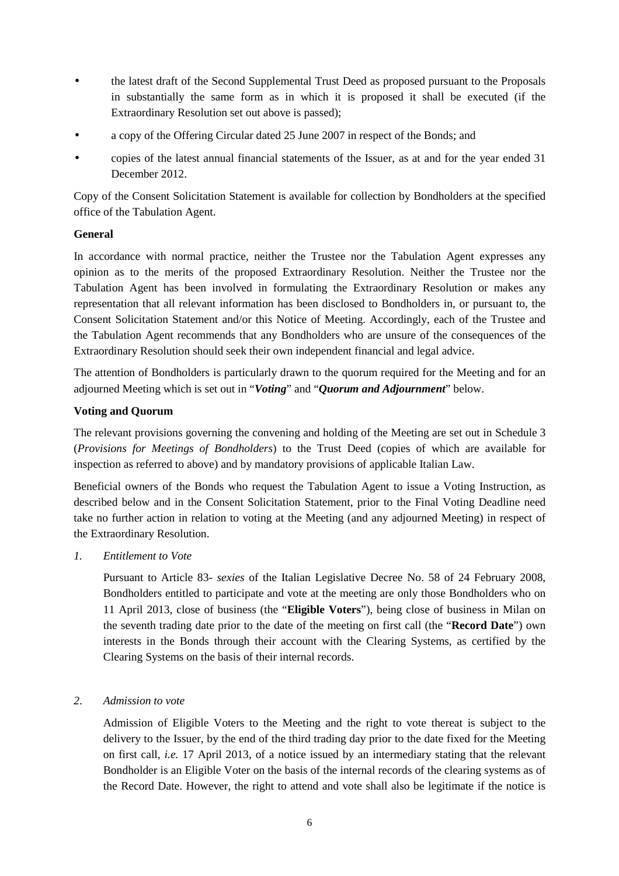- the latest draft of the Second Supplemental Trust Deed as proposed pursuant to the Proposals in substantially the same form as in which it is proposed it shall be executed (if the Extraordinary Resolution set out above is passed);
- a copy of the Offering Circular dated 25 June 2007 in respect of the Bonds; and
- copies of the latest annual financial statements of the Issuer, as at and for the year ended 31 December 2012.

Copy of the Consent Solicitation Statement is available for collection by Bondholders at the specified office of the Tabulation Agent.

# **General**

In accordance with normal practice, neither the Trustee nor the Tabulation Agent expresses any opinion as to the merits of the proposed Extraordinary Resolution. Neither the Trustee nor the Tabulation Agent has been involved in formulating the Extraordinary Resolution or makes any representation that all relevant information has been disclosed to Bondholders in, or pursuant to, the Consent Solicitation Statement and/or this Notice of Meeting. Accordingly, each of the Trustee and the Tabulation Agent recommends that any Bondholders who are unsure of the consequences of the Extraordinary Resolution should seek their own independent financial and legal advice.

The attention of Bondholders is particularly drawn to the quorum required for the Meeting and for an adjourned Meeting which is set out in "*Voting*" and "*Quorum and Adjournment*" below.

# **Voting and Quorum**

The relevant provisions governing the convening and holding of the Meeting are set out in Schedule 3 (*Provisions for Meetings of Bondholders*) to the Trust Deed (copies of which are available for inspection as referred to above) and by mandatory provisions of applicable Italian Law.

Beneficial owners of the Bonds who request the Tabulation Agent to issue a Voting Instruction, as described below and in the Consent Solicitation Statement, prior to the Final Voting Deadline need take no further action in relation to voting at the Meeting (and any adjourned Meeting) in respect of the Extraordinary Resolution.

*1. Entitlement to Vote* 

Pursuant to Article 83- *sexies* of the Italian Legislative Decree No. 58 of 24 February 2008, Bondholders entitled to participate and vote at the meeting are only those Bondholders who on 11 April 2013, close of business (the "**Eligible Voters**"), being close of business in Milan on the seventh trading date prior to the date of the meeting on first call (the "**Record Date**") own interests in the Bonds through their account with the Clearing Systems, as certified by the Clearing Systems on the basis of their internal records.

# *2*. *Admission to vote*

Admission of Eligible Voters to the Meeting and the right to vote thereat is subject to the delivery to the Issuer, by the end of the third trading day prior to the date fixed for the Meeting on first call, *i.e.* 17 April 2013, of a notice issued by an intermediary stating that the relevant Bondholder is an Eligible Voter on the basis of the internal records of the clearing systems as of the Record Date. However, the right to attend and vote shall also be legitimate if the notice is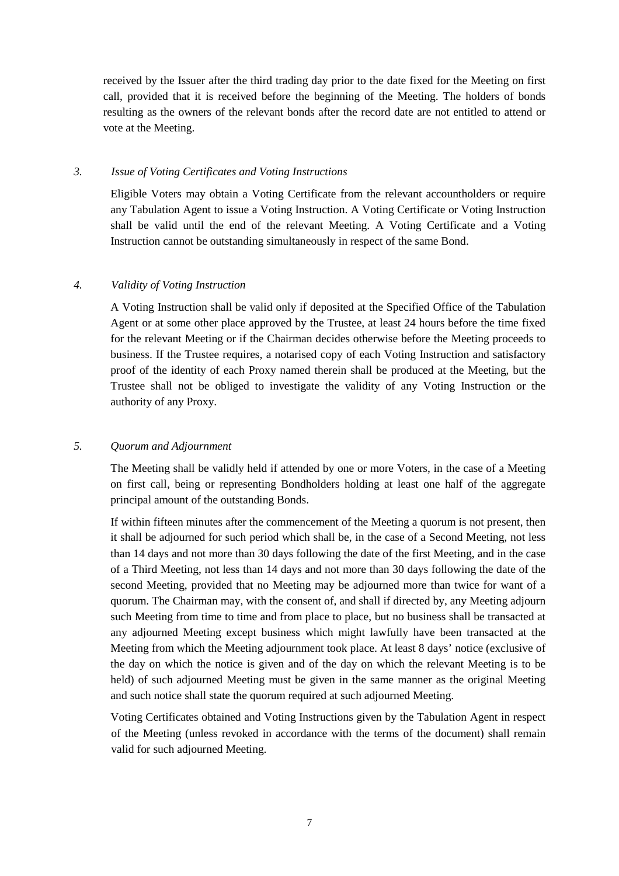received by the Issuer after the third trading day prior to the date fixed for the Meeting on first call, provided that it is received before the beginning of the Meeting. The holders of bonds resulting as the owners of the relevant bonds after the record date are not entitled to attend or vote at the Meeting.

### *3. Issue of Voting Certificates and Voting Instructions*

Eligible Voters may obtain a Voting Certificate from the relevant accountholders or require any Tabulation Agent to issue a Voting Instruction. A Voting Certificate or Voting Instruction shall be valid until the end of the relevant Meeting. A Voting Certificate and a Voting Instruction cannot be outstanding simultaneously in respect of the same Bond.

#### *4. Validity of Voting Instruction*

A Voting Instruction shall be valid only if deposited at the Specified Office of the Tabulation Agent or at some other place approved by the Trustee, at least 24 hours before the time fixed for the relevant Meeting or if the Chairman decides otherwise before the Meeting proceeds to business. If the Trustee requires, a notarised copy of each Voting Instruction and satisfactory proof of the identity of each Proxy named therein shall be produced at the Meeting, but the Trustee shall not be obliged to investigate the validity of any Voting Instruction or the authority of any Proxy.

#### *5. Quorum and Adjournment*

The Meeting shall be validly held if attended by one or more Voters, in the case of a Meeting on first call, being or representing Bondholders holding at least one half of the aggregate principal amount of the outstanding Bonds.

If within fifteen minutes after the commencement of the Meeting a quorum is not present, then it shall be adjourned for such period which shall be, in the case of a Second Meeting, not less than 14 days and not more than 30 days following the date of the first Meeting, and in the case of a Third Meeting, not less than 14 days and not more than 30 days following the date of the second Meeting, provided that no Meeting may be adjourned more than twice for want of a quorum. The Chairman may, with the consent of, and shall if directed by, any Meeting adjourn such Meeting from time to time and from place to place, but no business shall be transacted at any adjourned Meeting except business which might lawfully have been transacted at the Meeting from which the Meeting adjournment took place. At least 8 days' notice (exclusive of the day on which the notice is given and of the day on which the relevant Meeting is to be held) of such adjourned Meeting must be given in the same manner as the original Meeting and such notice shall state the quorum required at such adjourned Meeting.

Voting Certificates obtained and Voting Instructions given by the Tabulation Agent in respect of the Meeting (unless revoked in accordance with the terms of the document) shall remain valid for such adjourned Meeting.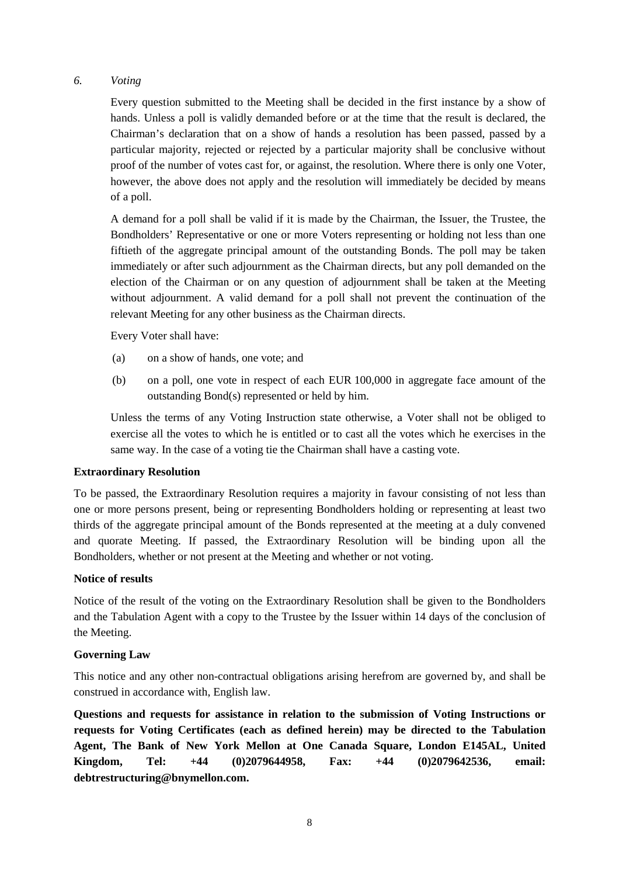# *6. Voting*

Every question submitted to the Meeting shall be decided in the first instance by a show of hands. Unless a poll is validly demanded before or at the time that the result is declared, the Chairman's declaration that on a show of hands a resolution has been passed, passed by a particular majority, rejected or rejected by a particular majority shall be conclusive without proof of the number of votes cast for, or against, the resolution. Where there is only one Voter, however, the above does not apply and the resolution will immediately be decided by means of a poll.

A demand for a poll shall be valid if it is made by the Chairman, the Issuer, the Trustee, the Bondholders' Representative or one or more Voters representing or holding not less than one fiftieth of the aggregate principal amount of the outstanding Bonds. The poll may be taken immediately or after such adjournment as the Chairman directs, but any poll demanded on the election of the Chairman or on any question of adjournment shall be taken at the Meeting without adjournment. A valid demand for a poll shall not prevent the continuation of the relevant Meeting for any other business as the Chairman directs.

Every Voter shall have:

- (a) on a show of hands, one vote; and
- (b) on a poll, one vote in respect of each EUR 100,000 in aggregate face amount of the outstanding Bond(s) represented or held by him.

Unless the terms of any Voting Instruction state otherwise, a Voter shall not be obliged to exercise all the votes to which he is entitled or to cast all the votes which he exercises in the same way. In the case of a voting tie the Chairman shall have a casting vote.

#### **Extraordinary Resolution**

To be passed, the Extraordinary Resolution requires a majority in favour consisting of not less than one or more persons present, being or representing Bondholders holding or representing at least two thirds of the aggregate principal amount of the Bonds represented at the meeting at a duly convened and quorate Meeting. If passed, the Extraordinary Resolution will be binding upon all the Bondholders, whether or not present at the Meeting and whether or not voting.

# **Notice of results**

Notice of the result of the voting on the Extraordinary Resolution shall be given to the Bondholders and the Tabulation Agent with a copy to the Trustee by the Issuer within 14 days of the conclusion of the Meeting.

# **Governing Law**

This notice and any other non-contractual obligations arising herefrom are governed by, and shall be construed in accordance with, English law.

**Questions and requests for assistance in relation to the submission of Voting Instructions or requests for Voting Certificates (each as defined herein) may be directed to the Tabulation Agent, The Bank of New York Mellon at One Canada Square, London E145AL, United Kingdom, Tel: +44 (0)2079644958, Fax: +44 (0)2079642536, email: debtrestructuring@bnymellon.com.**